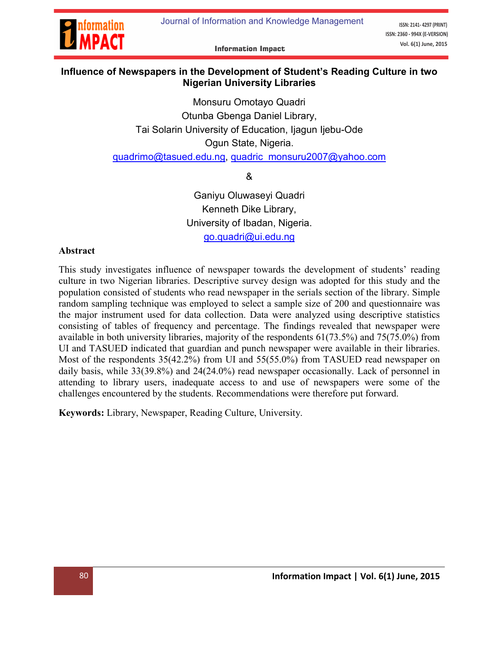

ISSN: 2141-4297 (PRINT) ISSN: 2360 - 994X (E-VERSION) Vol. 6(1) June, 2015

**Information Impact** 

### Influence of Newspapers in the Development of Student's Reading Culture in two Nigerian University Libraries

Monsuru Omotayo Quadri Otunba Gbenga Daniel Library, Tai Solarin University of Education, Ijagun Ijebu-Ode Ogun State, Nigeria.

quadrimo@tasued.edu.ng, quadric\_monsuru2007@yahoo.com

&

[Ganiyu Oluwasey](mailto:quadrimo@tasued.edu.ng)[i Quadri](mailto:quadric_monsuru2007@yahoo.com) Kenneth Dike Library, University of Ibadan, Nigeria. go.quadri@ui.edu.ng

#### Abstract

This study investigates influence [of newspaper towards the develop](mailto:go.quadri@ui.edu.ng)ment of students' reading culture in two Nigerian libraries. Descriptive survey design was adopted for this study and the population consisted of students who read newspaper in the serials section of the library. Simple random sampling technique was employed to select a sample size of 200 and questionnaire was the major instrument used for data collection. Data were analyzed using descriptive statistics consisting of tables of frequency and percentage. The findings revealed that newspaper were available in both university libraries, majority of the respondents 61(73.5%) and 75(75.0%) from UI and TASUED indicated that guardian and punch newspaper were available in their libraries. Most of the respondents 35(42.2%) from UI and 55(55.0%) from TASUED read newspaper on daily basis, while 33(39.8%) and 24(24.0%) read newspaper occasionally. Lack of personnel in attending to library users, inadequate access to and use of newspapers were some of the challenges encountered by the students. Recommendations were therefore put forward.

Keywords: Library, Newspaper, Reading Culture, University.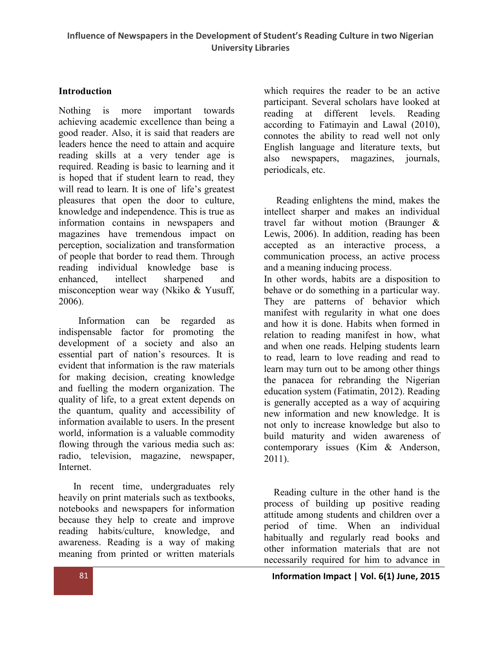#### Introduction

Nothing is more important towards achieving academic excellence than being a good reader. Also, it is said that readers are leaders hence the need to attain and acquire reading skills at a very tender age is required. Reading is basic to learning and it is hoped that if student learn to read, they will read to learn. It is one of life's greatest pleasures that open the door to culture, knowledge and independence. This is true as information contains in newspapers and magazines have tremendous impact on perception, socialization and transformation of people that border to read them. Through reading individual knowledge base is enhanced, intellect sharpened and misconception wear way (Nkiko & Yusuff, 2006).

 Information can be regarded as indispensable factor for promoting the development of a society and also an essential part of nation's resources. It is evident that information is the raw materials for making decision, creating knowledge and fuelling the modern organization. The quality of life, to a great extent depends on the quantum, quality and accessibility of information available to users. In the present world, information is a valuable commodity flowing through the various media such as: radio, television, magazine, newspaper, Internet.

 In recent time, undergraduates rely heavily on print materials such as textbooks, notebooks and newspapers for information because they help to create and improve reading habits/culture, knowledge, and awareness. Reading is a way of making meaning from printed or written materials

which requires the reader to be an active participant. Several scholars have looked at reading at different levels. Reading according to Fatimayin and Lawal (2010), connotes the ability to read well not only English language and literature texts, but also newspapers, magazines, journals, periodicals, etc.

 Reading enlightens the mind, makes the intellect sharper and makes an individual travel far without motion (Braunger & Lewis, 2006). In addition, reading has been accepted as an interactive process, a communication process, an active process and a meaning inducing process.

In other words, habits are a disposition to behave or do something in a particular way. They are patterns of behavior which manifest with regularity in what one does and how it is done. Habits when formed in relation to reading manifest in how, what and when one reads. Helping students learn to read, learn to love reading and read to learn may turn out to be among other things the panacea for rebranding the Nigerian education system (Fatimatin, 2012). Reading is generally accepted as a way of acquiring new information and new knowledge. It is not only to increase knowledge but also to build maturity and widen awareness of contemporary issues (Kim & Anderson, 2011).

 Reading culture in the other hand is the process of building up positive reading attitude among students and children over a period of time. When an individual habitually and regularly read books and other information materials that are not necessarily required for him to advance in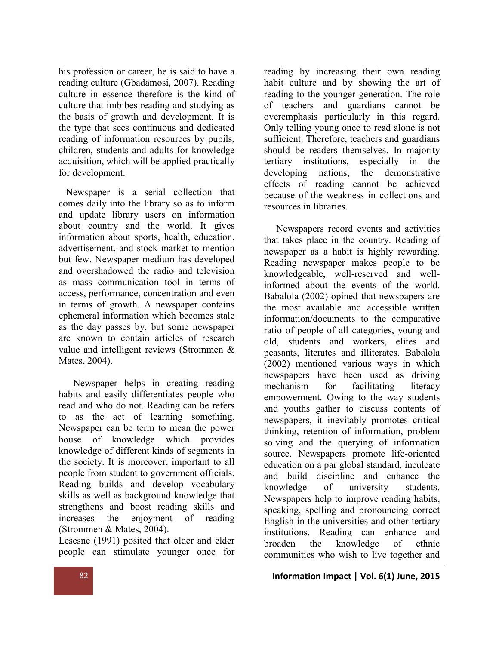his profession or career, he is said to have a reading culture (Gbadamosi, 2007). Reading culture in essence therefore is the kind of culture that imbibes reading and studying as the basis of growth and development. It is the type that sees continuous and dedicated reading of information resources by pupils, children, students and adults for knowledge acquisition, which will be applied practically for development.

 Newspaper is a serial collection that comes daily into the library so as to inform and update library users on information about country and the world. It gives information about sports, health, education, advertisement, and stock market to mention but few. Newspaper medium has developed and overshadowed the radio and television as mass communication tool in terms of access, performance, concentration and even in terms of growth. A newspaper contains ephemeral information which becomes stale as the day passes by, but some newspaper are known to contain articles of research value and intelligent reviews (Strommen & Mates, 2004).

 Newspaper helps in creating reading habits and easily differentiates people who read and who do not. Reading can be refers to as the act of learning something. Newspaper can be term to mean the power house of knowledge which provides knowledge of different kinds of segments in the society. It is moreover, important to all people from student to government officials. Reading builds and develop vocabulary skills as well as background knowledge that strengthens and boost reading skills and increases the enjoyment of reading (Strommen & Mates, 2004).

Lesesne (1991) posited that older and elder people can stimulate younger once for

reading by increasing their own reading habit culture and by showing the art of reading to the younger generation. The role of teachers and guardians cannot be overemphasis particularly in this regard. Only telling young once to read alone is not sufficient. Therefore, teachers and guardians should be readers themselves. In majority tertiary institutions, especially in the developing nations, the demonstrative effects of reading cannot be achieved because of the weakness in collections and resources in libraries.

 Newspapers record events and activities that takes place in the country. Reading of newspaper as a habit is highly rewarding. Reading newspaper makes people to be knowledgeable, well-reserved and wellinformed about the events of the world. Babalola (2002) opined that newspapers are the most available and accessible written information/documents to the comparative ratio of people of all categories, young and old, students and workers, elites and peasants, literates and illiterates. Babalola (2002) mentioned various ways in which newspapers have been used as driving mechanism for facilitating literacy empowerment. Owing to the way students and youths gather to discuss contents of newspapers, it inevitably promotes critical thinking, retention of information, problem solving and the querying of information source. Newspapers promote life-oriented education on a par global standard, inculcate and build discipline and enhance the knowledge of university students. Newspapers help to improve reading habits, speaking, spelling and pronouncing correct English in the universities and other tertiary institutions. Reading can enhance and broaden the knowledge of ethnic communities who wish to live together and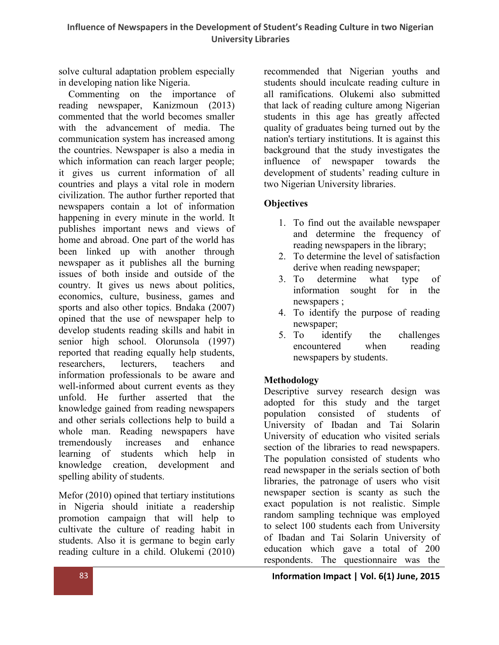solve cultural adaptation problem especially in developing nation like Nigeria.

 Commenting on the importance of reading newspaper, Kanizmoun (2013) commented that the world becomes smaller with the advancement of media. The communication system has increased among the countries. Newspaper is also a media in which information can reach larger people; it gives us current information of all countries and plays a vital role in modern civilization. The author further reported that newspapers contain a lot of information happening in every minute in the world. It publishes important news and views of home and abroad. One part of the world has been linked up with another through newspaper as it publishes all the burning issues of both inside and outside of the country. It gives us news about politics, economics, culture, business, games and sports and also other topics. Bndaka (2007) opined that the use of newspaper help to develop students reading skills and habit in senior high school. Olorunsola (1997) reported that reading equally help students, researchers, lecturers, teachers and information professionals to be aware and well-informed about current events as they unfold. He further asserted that the knowledge gained from reading newspapers and other serials collections help to build a whole man. Reading newspapers have tremendously increases and enhance learning of students which help in knowledge creation, development and spelling ability of students.

Mefor (2010) opined that tertiary institutions in Nigeria should initiate a readership promotion campaign that will help to cultivate the culture of reading habit in students. Also it is germane to begin early reading culture in a child. Olukemi (2010) recommended that Nigerian youths and students should inculcate reading culture in all ramifications. Olukemi also submitted that lack of reading culture among Nigerian students in this age has greatly affected quality of graduates being turned out by the nation's tertiary institutions. It is against this background that the study investigates the influence of newspaper towards the development of students' reading culture in two Nigerian University libraries.

# **Objectives**

- 1. To find out the available newspaper and determine the frequency of reading newspapers in the library;
- 2. To determine the level of satisfaction derive when reading newspaper;
- 3. To determine what type of information sought for in the newspapers ;
- 4. To identify the purpose of reading newspaper;
- 5. To identify the challenges encountered when reading newspapers by students.

# Methodology

Descriptive survey research design was adopted for this study and the target population consisted of students of University of Ibadan and Tai Solarin University of education who visited serials section of the libraries to read newspapers. The population consisted of students who read newspaper in the serials section of both libraries, the patronage of users who visit newspaper section is scanty as such the exact population is not realistic. Simple random sampling technique was employed to select 100 students each from University of Ibadan and Tai Solarin University of education which gave a total of 200 respondents. The questionnaire was the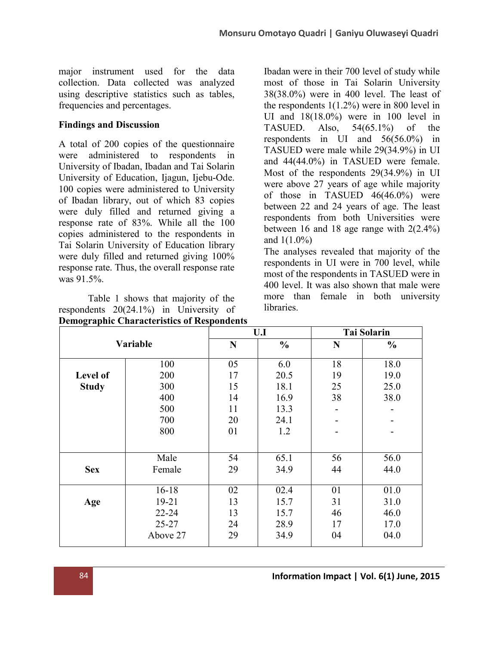major instrument used for the data collection. Data collected was analyzed using descriptive statistics such as tables, frequencies and percentages.

## Findings and Discussion

A total of 200 copies of the questionnaire were administered to respondents in University of Ibadan, Ibadan and Tai Solarin University of Education, Ijagun, Ijebu-Ode. 100 copies were administered to University of Ibadan library, out of which 83 copies were duly filled and returned giving a response rate of 83%. While all the 100 copies administered to the respondents in Tai Solarin University of Education library were duly filled and returned giving 100% response rate. Thus, the overall response rate was 91.5%.

Table 1 shows that majority of the respondents 20(24.1%) in University of Demographic Characteristics of Respondents Ibadan were in their 700 level of study while most of those in Tai Solarin University 38(38.0%) were in 400 level. The least of the respondents 1(1.2%) were in 800 level in UI and 18(18.0%) were in 100 level in TASUED. Also,  $54(65.1\%)$  of the respondents in UI and 56(56.0%) in TASUED were male while 29(34.9%) in UI and 44(44.0%) in TASUED were female. Most of the respondents 29(34.9%) in UI were above 27 years of age while majority of those in TASUED 46(46.0%) were between 22 and 24 years of age. The least respondents from both Universities were between 16 and 18 age range with  $2(2.4\%)$ and 1(1.0%)

The analyses revealed that majority of the respondents in UI were in 700 level, while most of the respondents in TASUED were in 400 level. It was also shown that male were more than female in both university **libraries** 

| Ð            |           |           | U.I           | <b>Tai Solarin</b> |               |  |  |
|--------------|-----------|-----------|---------------|--------------------|---------------|--|--|
|              | Variable  | ${\bf N}$ | $\frac{0}{0}$ | N                  | $\frac{0}{0}$ |  |  |
|              | 100       | 05        | 6.0           | 18                 | 18.0          |  |  |
| Level of     | 200       | 17        | 20.5          | 19                 | 19.0          |  |  |
| <b>Study</b> | 300       | 15        | 18.1          | 25                 | 25.0          |  |  |
|              | 400       | 14        | 16.9          | 38                 | 38.0          |  |  |
|              | 500       | 11        | 13.3          |                    |               |  |  |
|              | 700       | 20        | 24.1          |                    |               |  |  |
|              | 800       | 01        | 1.2           |                    |               |  |  |
|              |           |           |               |                    |               |  |  |
|              | Male      | 54        | 65.1          | 56                 | 56.0          |  |  |
| <b>Sex</b>   | Female    | 29        | 34.9          | 44                 | 44.0          |  |  |
|              |           |           |               |                    |               |  |  |
|              | $16 - 18$ | 02        | 02.4          | 01                 | 01.0          |  |  |
| Age          | $19 - 21$ | 13        | 15.7          | 31                 | 31.0          |  |  |
|              | 22-24     | 13        | 15.7          | 46                 | 46.0          |  |  |
|              | $25 - 27$ | 24        | 28.9          | 17                 | 17.0          |  |  |
|              | Above 27  | 29        | 34.9          | 04                 | 04.0          |  |  |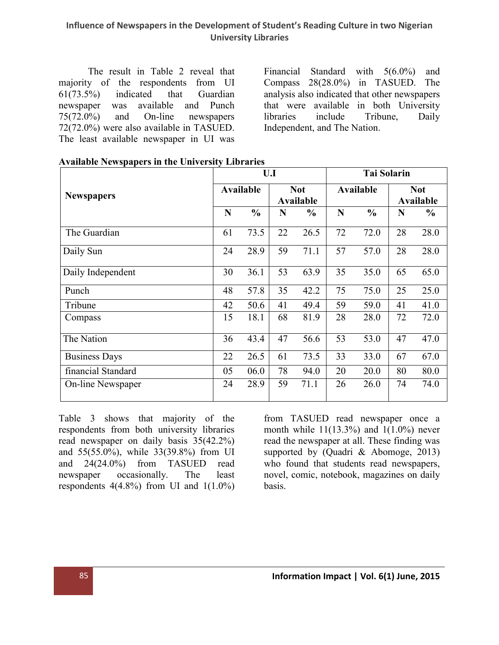#### Influence of Newspapers in the Development of Student's Reading Culture in two Nigerian University Libraries

The result in Table 2 reveal that majority of the respondents from UI 61(73.5%) indicated that Guardian newspaper was available and Punch 75(72.0%) and On-line newspapers 72(72.0%) were also available in TASUED. The least available newspaper in UI was

Financial Standard with 5(6.0%) and Compass 28(28.0%) in TASUED. The analysis also indicated that other newspapers that were available in both University libraries include Tribune, Daily Independent, and The Nation.

|                          |                  | U.I           |                         |               | <b>Tai Solarin</b> |               |                                |               |  |
|--------------------------|------------------|---------------|-------------------------|---------------|--------------------|---------------|--------------------------------|---------------|--|
| <b>Newspapers</b>        | <b>Available</b> |               | <b>Not</b><br>Available |               | Available          |               | <b>Not</b><br><b>Available</b> |               |  |
|                          | N                | $\frac{0}{0}$ | N                       | $\frac{0}{0}$ | N                  | $\frac{0}{0}$ | N                              | $\frac{0}{0}$ |  |
| The Guardian             | 61               | 73.5          | 22                      | 26.5          | 72                 | 72.0          | 28                             | 28.0          |  |
| Daily Sun                | 24               | 28.9          | 59                      | 71.1          | 57                 | 57.0          | 28                             | 28.0          |  |
| Daily Independent        | 30               | 36.1          | 53                      | 63.9          | 35                 | 35.0          | 65                             | 65.0          |  |
| Punch                    | 48               | 57.8          | 35                      | 42.2          | 75                 | 75.0          | 25                             | 25.0          |  |
| Tribune                  | 42               | 50.6          | 41                      | 49.4          | 59                 | 59.0          | 41                             | 41.0          |  |
| Compass                  | 15               | 18.1          | 68                      | 81.9          | 28                 | 28.0          | 72                             | 72.0          |  |
| The Nation               | 36               | 43.4          | 47                      | 56.6          | 53                 | 53.0          | 47                             | 47.0          |  |
| <b>Business Days</b>     | 22               | 26.5          | 61                      | 73.5          | 33                 | 33.0          | 67                             | 67.0          |  |
| financial Standard       | 05               | 06.0          | 78                      | 94.0          | 20                 | 20.0          | 80                             | 80.0          |  |
| <b>On-line Newspaper</b> | 24               | 28.9          | 59                      | 71.1          | 26                 | 26.0          | 74                             | 74.0          |  |

|  | <b>Available Newspapers in the University Libraries</b> |  |
|--|---------------------------------------------------------|--|
|  |                                                         |  |

Table 3 shows that majority of the respondents from both university libraries read newspaper on daily basis 35(42.2%) and 55(55.0%), while 33(39.8%) from UI and 24(24.0%) from TASUED read newspaper occasionally. The least respondents  $4(4.8\%)$  from UI and  $1(1.0\%)$  from TASUED read newspaper once a month while  $11(13.3%)$  and  $1(1.0%)$  never read the newspaper at all. These finding was supported by (Quadri & Abomoge, 2013) who found that students read newspapers, novel, comic, notebook, magazines on daily basis.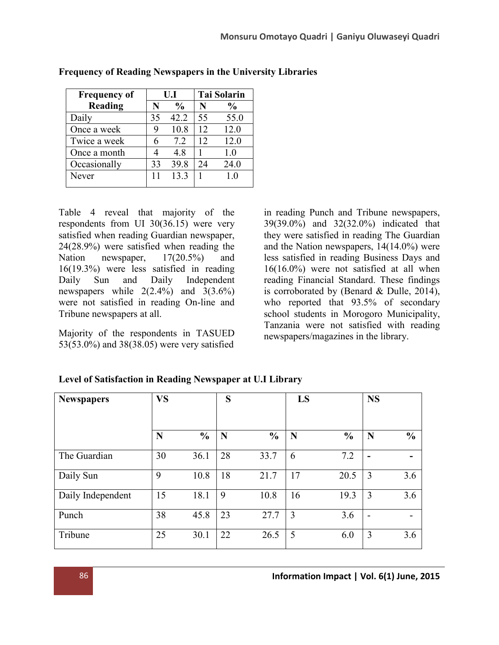| <b>Frequency of</b> |    | U.I           |    | <b>Tai Solarin</b> |
|---------------------|----|---------------|----|--------------------|
| Reading             | N  | $\frac{0}{0}$ | N  | $\frac{0}{0}$      |
| Daily               | 35 | 42.2          | 55 | 55.0               |
| Once a week         |    | 10.8          | 12 | 12.0               |
| Twice a week        | 6  | 7.2           | 12 | 12.0               |
| Once a month        |    | 4.8           |    | 1.0                |
| Occasionally        | 33 | 39.8          | 24 | 24.0               |
| Never               | 11 | 13.3          |    | 1.0                |

### Frequency of Reading Newspapers in the University Libraries

Table 4 reveal that majority of the respondents from UI 30(36.15) were very satisfied when reading Guardian newspaper, 24(28.9%) were satisfied when reading the Nation newspaper,  $17(20.5\%)$  and 16(19.3%) were less satisfied in reading Daily Sun and Daily Independent newspapers while  $2(2.4\%)$  and  $3(3.6\%)$ were not satisfied in reading On-line and Tribune newspapers at all.

Majority of the respondents in TASUED 53(53.0%) and 38(38.05) were very satisfied

in reading Punch and Tribune newspapers, 39(39.0%) and 32(32.0%) indicated that they were satisfied in reading The Guardian and the Nation newspapers, 14(14.0%) were less satisfied in reading Business Days and 16(16.0%) were not satisfied at all when reading Financial Standard. These findings is corroborated by (Benard & Dulle, 2014), who reported that 93.5% of secondary school students in Morogoro Municipality, Tanzania were not satisfied with reading newspapers/magazines in the library.

| <b>Newspapers</b> | <b>VS</b> |               | S  |               | LS |               | <b>NS</b>                |               |
|-------------------|-----------|---------------|----|---------------|----|---------------|--------------------------|---------------|
|                   | N         | $\frac{0}{0}$ | N  | $\frac{0}{0}$ | N  | $\frac{0}{0}$ | $\mathbf N$              | $\frac{6}{9}$ |
| The Guardian      | 30        | 36.1          | 28 | 33.7          | 6  | 7.2           | $\overline{\phantom{0}}$ |               |
| Daily Sun         | 9         | 10.8          | 18 | 21.7          | 17 | 20.5          | 3                        | 3.6           |
| Daily Independent | 15        | 18.1          | 9  | 10.8          | 16 | 19.3          | 3                        | 3.6           |
| Punch             | 38        | 45.8          | 23 | 27.7          | 3  | 3.6           | -                        |               |
| Tribune           | 25        | 30.1          | 22 | 26.5          | 5  | 6.0           | 3                        | 3.6           |

Level of Satisfaction in Reading Newspaper at U.I Library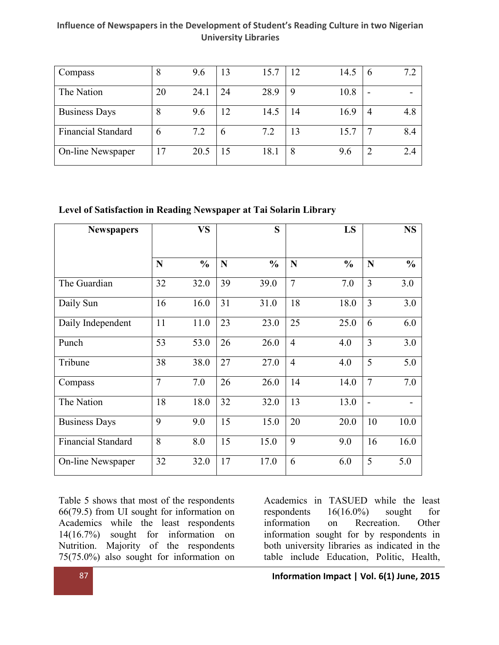#### Influence of Newspapers in the Development of Student's Reading Culture in two Nigerian University Libraries

| Compass                   | 8  | 9.6  | 13 | 15.7 | 12 | 14.5 | O | 7.2 |
|---------------------------|----|------|----|------|----|------|---|-----|
| The Nation                | 20 | 24.1 | 24 | 28.9 | 9  | 10.8 | - | -   |
| <b>Business Days</b>      | 8  | 9.6  | 12 | 14.5 | 14 | 16.9 | 4 | 4.8 |
| <b>Financial Standard</b> | 6  | 7.2  | 6  | 7.2  | 13 | 15.7 |   | 8.4 |
| On-line Newspaper         | 17 | 20.5 | 15 | 18.1 | 8  | 9.6  | ∍ | 2.4 |

#### Level of Satisfaction in Reading Newspaper at Tai Solarin Library

| <b>Newspapers</b>         |                | <b>VS</b>     |    | S             |                | LS            |                          | <b>NS</b>     |
|---------------------------|----------------|---------------|----|---------------|----------------|---------------|--------------------------|---------------|
|                           | N              | $\frac{0}{0}$ | N  | $\frac{0}{0}$ | N              | $\frac{0}{0}$ | N                        | $\frac{0}{0}$ |
| The Guardian              | 32             | 32.0          | 39 | 39.0          | $\overline{7}$ | 7.0           | 3                        | 3.0           |
| Daily Sun                 | 16             | 16.0          | 31 | 31.0          | 18             | 18.0          | $\overline{3}$           | 3.0           |
| Daily Independent         | 11             | 11.0          | 23 | 23.0          | 25             | 25.0          | 6                        | 6.0           |
| Punch                     | 53             | 53.0          | 26 | 26.0          | $\overline{4}$ | 4.0           | $\overline{3}$           | 3.0           |
| Tribune                   | 38             | 38.0          | 27 | 27.0          | $\overline{4}$ | 4.0           | 5                        | 5.0           |
| Compass                   | $\overline{7}$ | 7.0           | 26 | 26.0          | 14             | 14.0          | $\overline{7}$           | 7.0           |
| The Nation                | 18             | 18.0          | 32 | 32.0          | 13             | 13.0          | $\overline{\phantom{0}}$ |               |
| <b>Business Days</b>      | 9              | 9.0           | 15 | 15.0          | 20             | 20.0          | 10                       | 10.0          |
| <b>Financial Standard</b> | 8              | 8.0           | 15 | 15.0          | 9              | 9.0           | 16                       | 16.0          |
| On-line Newspaper         | 32             | 32.0          | 17 | 17.0          | 6              | 6.0           | 5                        | 5.0           |

Table 5 shows that most of the respondents 66(79.5) from UI sought for information on Academics while the least respondents 14(16.7%) sought for information on Nutrition. Majority of the respondents 75(75.0%) also sought for information on

Academics in TASUED while the least respondents 16(16.0%) sought for information on Recreation. Other information sought for by respondents in both university libraries as indicated in the table include Education, Politic, Health,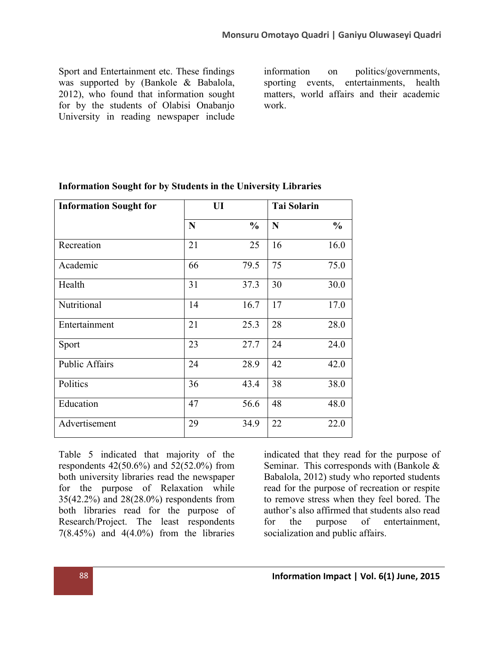Sport and Entertainment etc. These findings was supported by (Bankole & Babalola, 2012), who found that information sought for by the students of Olabisi Onabanjo University in reading newspaper include

information on politics/governments, sporting events, entertainments, health matters, world affairs and their academic work.

| <b>Information Sought for</b> | UI |               | <b>Tai Solarin</b> |               |
|-------------------------------|----|---------------|--------------------|---------------|
|                               | N  | $\frac{0}{0}$ | N                  | $\frac{0}{0}$ |
| Recreation                    | 21 | 25            | 16                 | 16.0          |
| Academic                      | 66 | 79.5          | 75                 | 75.0          |
| Health                        | 31 | 37.3          | 30                 | 30.0          |
| Nutritional                   | 14 | 16.7          | 17                 | 17.0          |
| Entertainment                 | 21 | 25.3          | 28                 | 28.0          |
| Sport                         | 23 | 27.7          | 24                 | 24.0          |
| <b>Public Affairs</b>         | 24 | 28.9          | 42                 | 42.0          |
| Politics                      | 36 | 43.4          | 38                 | 38.0          |
| Education                     | 47 | 56.6          | 48                 | 48.0          |
| Advertisement                 | 29 | 34.9          | 22                 | 22.0          |

### Information Sought for by Students in the University Libraries

Table 5 indicated that majority of the respondents 42(50.6%) and 52(52.0%) from both university libraries read the newspaper for the purpose of Relaxation while 35(42.2%) and 28(28.0%) respondents from both libraries read for the purpose of Research/Project. The least respondents  $7(8.45\%)$  and  $4(4.0\%)$  from the libraries

indicated that they read for the purpose of Seminar. This corresponds with (Bankole & Babalola, 2012) study who reported students read for the purpose of recreation or respite to remove stress when they feel bored. The author's also affirmed that students also read for the purpose of entertainment, socialization and public affairs.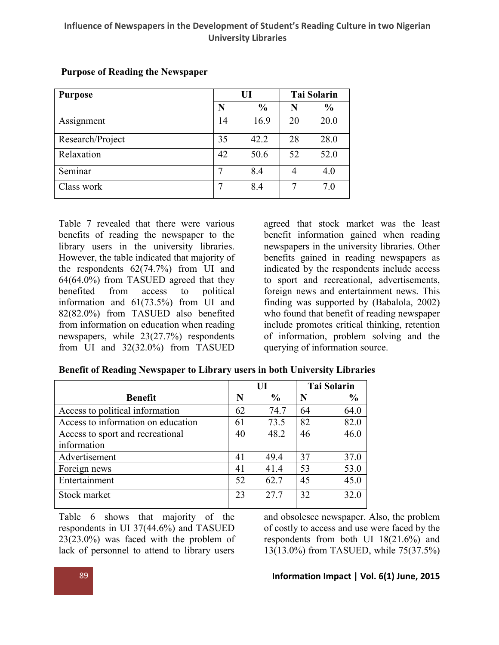#### Influence of Newspapers in the Development of Student's Reading Culture in two Nigerian University Libraries

| <b>Purpose</b>   |    | UI            |    | <b>Tai Solarin</b> |
|------------------|----|---------------|----|--------------------|
|                  | N  | $\frac{0}{0}$ | N  | $\frac{0}{0}$      |
| Assignment       | 14 | 16.9          | 20 | 20.0               |
| Research/Project | 35 | 42.2          | 28 | 28.0               |
| Relaxation       | 42 | 50.6          | 52 | 52.0               |
| Seminar          |    | 8.4           |    | 4.0                |
| Class work       |    | 8.4           | 7  | 7.0                |

#### Purpose of Reading the Newspaper

Table 7 revealed that there were various benefits of reading the newspaper to the library users in the university libraries. However, the table indicated that majority of the respondents 62(74.7%) from UI and 64(64.0%) from TASUED agreed that they benefited from access to political information and 61(73.5%) from UI and 82(82.0%) from TASUED also benefited from information on education when reading newspapers, while 23(27.7%) respondents from UI and 32(32.0%) from TASUED

agreed that stock market was the least benefit information gained when reading newspapers in the university libraries. Other benefits gained in reading newspapers as indicated by the respondents include access to sport and recreational, advertisements, foreign news and entertainment news. This finding was supported by (Babalola, 2002) who found that benefit of reading newspaper include promotes critical thinking, retention of information, problem solving and the querying of information source.

|                                    |    | $\mathbf{H}$  |    | <b>Tai Solarin</b> |
|------------------------------------|----|---------------|----|--------------------|
| <b>Benefit</b>                     | N  | $\frac{0}{0}$ | N  | $\frac{0}{0}$      |
| Access to political information    | 62 | 74.7          | 64 | 64.0               |
| Access to information on education | 61 | 73.5          | 82 | 82.0               |
| Access to sport and recreational   | 40 | 48.2          | 46 | 46.0               |
| information                        |    |               |    |                    |
| Advertisement                      | 41 | 49.4          | 37 | 37.0               |
| Foreign news                       | 41 | 41.4          | 53 | 53.0               |
| Entertainment                      | 52 | 62.7          | 45 | 45.0               |
| Stock market                       | 23 | 27.7          | 32 | 32.0               |

#### Benefit of Reading Newspaper to Library users in both University Libraries

Table 6 shows that majority of the respondents in UI 37(44.6%) and TASUED 23(23.0%) was faced with the problem of lack of personnel to attend to library users

and obsolesce newspaper. Also, the problem of costly to access and use were faced by the respondents from both UI 18(21.6%) and 13(13.0%) from TASUED, while 75(37.5%)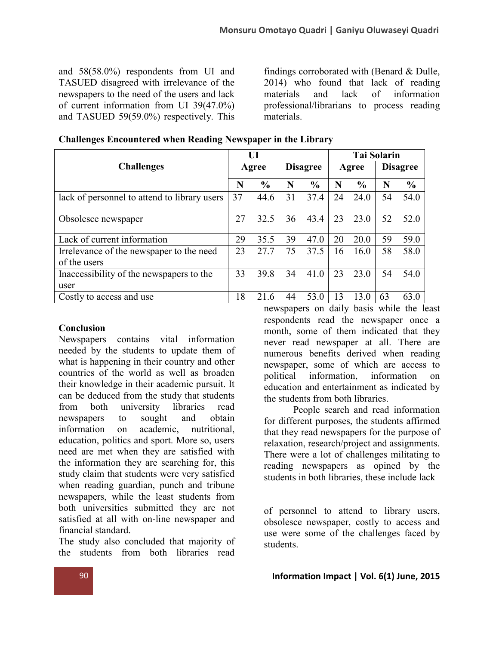and 58(58.0%) respondents from UI and TASUED disagreed with irrelevance of the newspapers to the need of the users and lack of current information from UI 39(47.0%) and TASUED 59(59.0%) respectively. This

findings corroborated with (Benard & Dulle, 2014) who found that lack of reading materials and lack of information professional/librarians to process reading materials.

| <b>Challenges</b>                                        |    | UI            |    |                 |       | <b>Tai Solarin</b> |                 |               |  |  |
|----------------------------------------------------------|----|---------------|----|-----------------|-------|--------------------|-----------------|---------------|--|--|
|                                                          |    | Agree         |    | <b>Disagree</b> | Agree |                    | <b>Disagree</b> |               |  |  |
|                                                          | N  | $\frac{0}{0}$ | N  | $\frac{6}{6}$   | N     | $\frac{6}{6}$      | N               | $\frac{0}{0}$ |  |  |
| lack of personnel to attend to library users             | 37 | 44.6          | 31 | 37.4            | 24    | 24.0               | 54              | 54.0          |  |  |
| Obsolesce newspaper                                      | 27 | 32.5          | 36 | 43.4            | 23    | 23.0               | 52              | 52.0          |  |  |
| Lack of current information                              | 29 | 35.5          | 39 | 47.0            | 20    | 20.0               | 59              | 59.0          |  |  |
| Irrelevance of the newspaper to the need<br>of the users | 23 | 27.7          | 75 | 37.5            | 16    | 16.0               | 58              | 58.0          |  |  |
| Inaccessibility of the newspapers to the<br>user         | 33 | 39.8          | 34 | 41.0            | 23    | 23.0               | 54              | 54.0          |  |  |
| Costly to access and use                                 | 18 | 21.6          | 44 | 53.0            | 13    | 13.0               | 63              | 63.0          |  |  |

Challenges Encountered when Reading Newspaper in the Library

#### **Conclusion**

Newspapers contains vital information needed by the students to update them of what is happening in their country and other countries of the world as well as broaden their knowledge in their academic pursuit. It can be deduced from the study that students from both university libraries read newspapers to sought and obtain information on academic, nutritional, education, politics and sport. More so, users need are met when they are satisfied with the information they are searching for, this study claim that students were very satisfied when reading guardian, punch and tribune newspapers, while the least students from both universities submitted they are not satisfied at all with on-line newspaper and financial standard.

The study also concluded that majority of the students from both libraries read

newspapers on daily basis while the least respondents read the newspaper once a month, some of them indicated that they never read newspaper at all. There are numerous benefits derived when reading newspaper, some of which are access to political information, information on education and entertainment as indicated by the students from both libraries.

People search and read information for different purposes, the students affirmed that they read newspapers for the purpose of relaxation, research/project and assignments. There were a lot of challenges militating to reading newspapers as opined by the students in both libraries, these include lack

of personnel to attend to library users, obsolesce newspaper, costly to access and use were some of the challenges faced by students.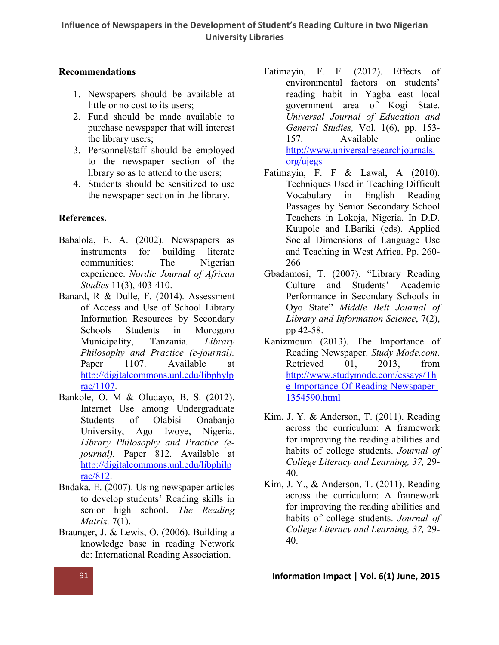# Recommendations

- 1. Newspapers should be available at little or no cost to its users;
- 2. Fund should be made available to purchase newspaper that will interest the library users;
- 3. Personnel/staff should be employed to the newspaper section of the library so as to attend to the users;
- 4. Students should be sensitized to use the newspaper section in the library.

# References.

- Babalola, E. A. (2002). Newspapers as instruments for building literate communities: The Nigerian experience. *Nordic Journal of African Studies* 11(3), 403-410.
- Banard, R & Dulle, F. (2014). Assessment of Access and Use of School Library Information Resources by Secondary Schools Students in Morogoro Municipality, Tanzania*. Library Philosophy and Practice (e-journal).* Paper 1107. Available at http://digitalcommons.unl.edu/libphylp [rac/1107.](http://digitalcommons.unl.edu/libphylprac/1107)
- Bankole, O. M & Oludayo, B. S. (2012). [Internet Use among Undergraduate](http://digitalcommons.unl.edu/libphylprac/1107)  Students of Olabisi Onabanjo University, Ago Iwoye, Nigeria. *Library Philosophy and Practice (ejournal).* Paper 812. Available at http://digitalcommons.unl.edu/libphilp [rac/812.](http://digitalcommons.unl.edu/libphilprac/812)
- Bnd[aka, E. \(2007\). Using newspaper articles](http://digitalcommons.unl.edu/libphilprac/812)  to develop students' Reading skills in senior high school. *The Reading Matrix,* 7(1).
- Braunger, J. & Lewis, O. (2006). Building a knowledge base in reading Network de: International Reading Association.
- Fatimayin, F. F. (2012). Effects of environmental factors on students' reading habit in Yagba east local government area of Kogi State. *Universal Journal of Education and General Studies,* Vol. 1(6), pp. 153- 157. Available online http://www.universalresearchjournals. [org/ujegs](http://www.universalresearchjournals.org/ujegs)
- Fatimayin, F. F & Lawal, A (2010). [Techniques Used in Teaching Difficult](http://www.universalresearchjournals.org/ujegs)  Vocabulary in English Reading Passages by Senior Secondary School Teachers in Lokoja, Nigeria. In D.D. Kuupole and I.Bariki (eds). Applied Social Dimensions of Language Use and Teaching in West Africa. Pp. 260- 266
- Gbadamosi, T. (2007). "Library Reading Culture and Students' Academic Performance in Secondary Schools in Oyo State" *Middle Belt Journal of Library and Information Science*, 7(2), pp 42-58.
- Kanizmoum (2013). The Importance of Reading Newspaper. *Study Mode.com*. Retrieved 01, 2013, from http://www.studymode.com/essays/Th [e-Importance-Of-Reading-Newspaper-](http://www.studymode.com/essays/The-Importance-Of-Reading-Newspaper-1354590.html)[1354590.html](http://www.studymode.com/essays/The-Importance-Of-Reading-Newspaper-1354590.html)
- Kim, J. Y. & Anderson, T. (2011). Reading across the curriculum: A framework for improving the reading abilities and habits of college students. *Journal of College Literacy and Learning, 37,* 29- 40.
- Kim, J. Y., & Anderson, T. (2011). Reading across the curriculum: A framework for improving the reading abilities and habits of college students. *Journal of College Literacy and Learning, 37,* 29- 40.